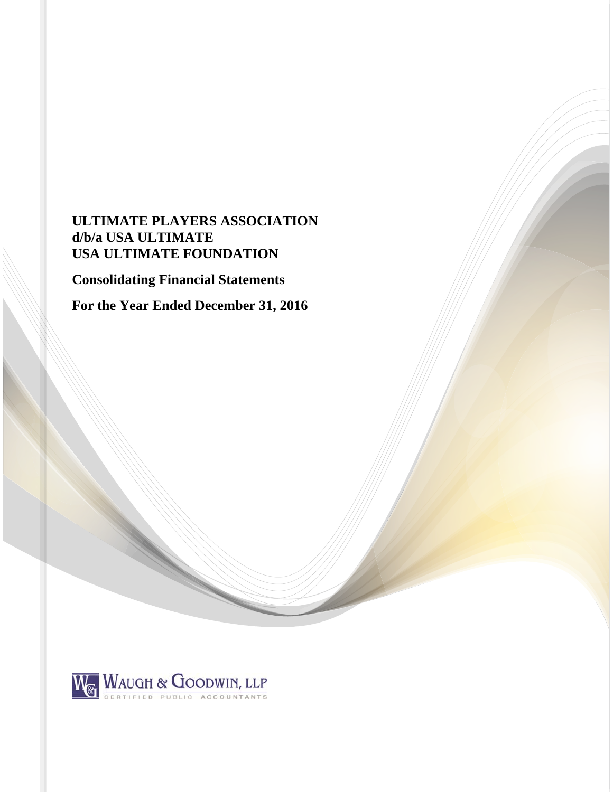# **ULTIMATE PLAYERS ASSOCIATION d/b/a USA ULTIMATE USA ULTIMATE FOUNDATION**

**Consolidating Financial Statements** 

**For the Year Ended December 31, 2016** 

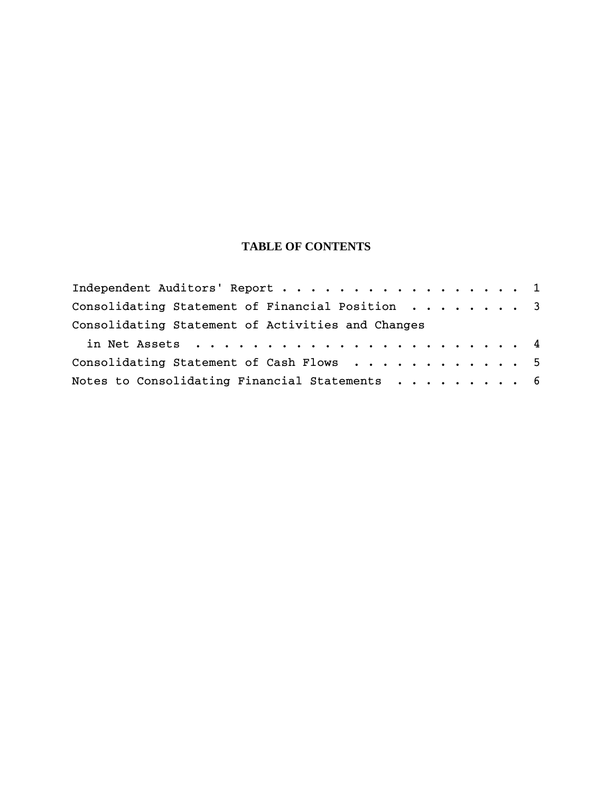## **TABLE OF CONTENTS**

| Independent Auditors' Report 1                    |  |  |  |  |
|---------------------------------------------------|--|--|--|--|
| Consolidating Statement of Financial Position 3   |  |  |  |  |
| Consolidating Statement of Activities and Changes |  |  |  |  |
|                                                   |  |  |  |  |
| Consolidating Statement of Cash Flows 5           |  |  |  |  |
| Notes to Consolidating Financial Statements 6     |  |  |  |  |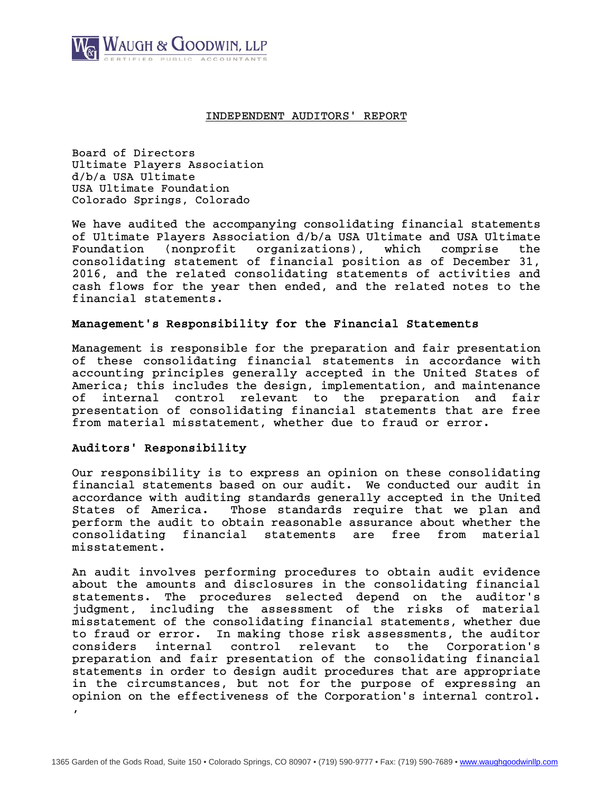

### INDEPENDENT AUDITORS' REPORT

Board of Directors Ultimate Players Association d/b/a USA Ultimate USA Ultimate Foundation Colorado Springs, Colorado

We have audited the accompanying consolidating financial statements of Ultimate Players Association d/b/a USA Ultimate and USA Ultimate Foundation (nonprofit organizations), which comprise the consolidating statement of financial position as of December 31, 2016, and the related consolidating statements of activities and cash flows for the year then ended, and the related notes to the financial statements.

## Management's Responsibility for the Financial Statements

Management is responsible for the preparation and fair presentation of these consolidating financial statements in accordance with accounting principles generally accepted in the United States of America; this includes the design, implementation, and maintenance of internal control relevant to the preparation and fair presentation of consolidating financial statements that are free from material misstatement, whether due to fraud or error.

## Auditors' Responsibility

Our responsibility is to express an opinion on these consolidating financial statements based on our audit. We conducted our audit in accordance with auditing standards generally accepted in the United States of America. Those standards require that we plan and perform the audit to obtain reasonable assurance about whether the consolidating financial statements are free from material misstatement.

An audit involves performing procedures to obtain audit evidence about the amounts and disclosures in the consolidating financial statements. The procedures selected depend on the auditor's judgment, including the assessment of the risks of material misstatement of the consolidating financial statements, whether due to fraud or error. In making those risk assessments, the auditor considers internal control relevant to the Corporation's preparation and fair presentation of the consolidating financial statements in order to design audit procedures that are appropriate in the circumstances, but not for the purpose of expressing an opinion on the effectiveness of the Corporation's internal control. ,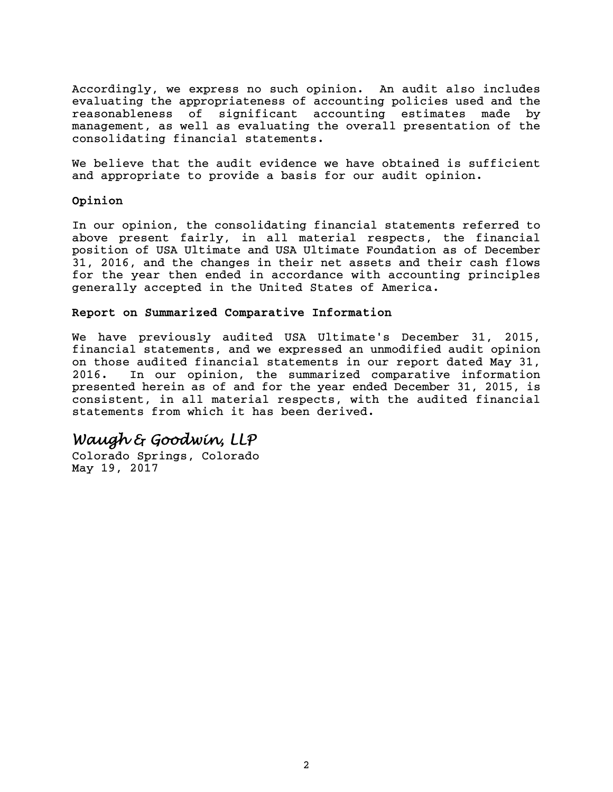Accordingly, we express no such opinion. An audit also includes evaluating the appropriateness of accounting policies used and the reasonableness of significant accounting estimates made by management, as well as evaluating the overall presentation of the consolidating financial statements.

We believe that the audit evidence we have obtained is sufficient and appropriate to provide a basis for our audit opinion.

## Opinion

In our opinion, the consolidating financial statements referred to above present fairly, in all material respects, the financial position of USA Ultimate and USA Ultimate Foundation as of December 31, 2016, and the changes in their net assets and their cash flows for the year then ended in accordance with accounting principles generally accepted in the United States of America.

## Report on Summarized Comparative Information

We have previously audited USA Ultimate's December 31, 2015, financial statements, and we expressed an unmodified audit opinion on those audited financial statements in our report dated May 31, 2016. In our opinion, the summarized comparative information presented herein as of and for the year ended December 31, 2015, is consistent, in all material respects, with the audited financial statements from which it has been derived.

# *Waugh & Goodwin, LLP*

Colorado Springs, Colorado May 19, 2017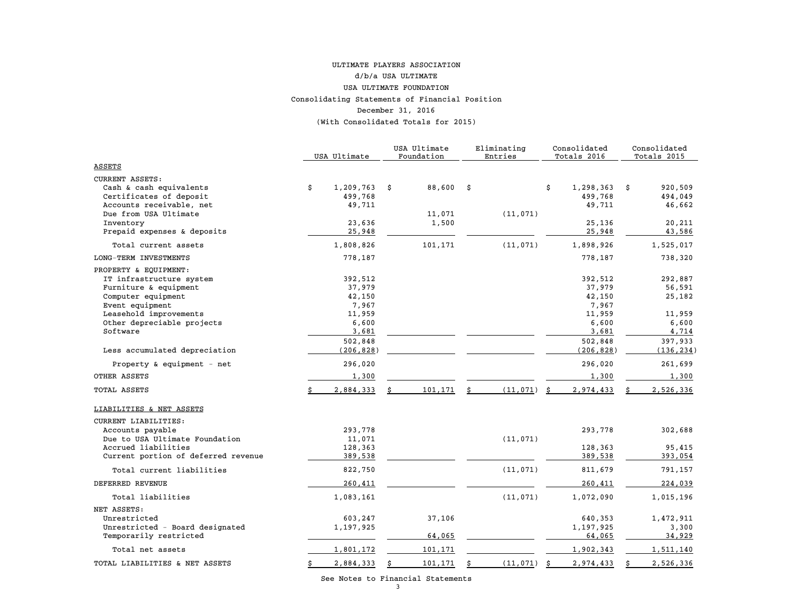#### Consolidating Statements of Financial Position December 31, 2016 (With Consolidated Totals for 2015) ULTIMATE PLAYERS ASSOCIATION d/b/a USA ULTIMATE USA ULTIMATE FOUNDATION

|                                                                                                                                                                                         | USA Ultimate                                                                | USA Ultimate<br>Foundation |      | Eliminating<br>Entries | Consolidated<br>Totals 2016                                                 |    | Consolidated<br>Totals 2015                                        |
|-----------------------------------------------------------------------------------------------------------------------------------------------------------------------------------------|-----------------------------------------------------------------------------|----------------------------|------|------------------------|-----------------------------------------------------------------------------|----|--------------------------------------------------------------------|
| ASSETS                                                                                                                                                                                  |                                                                             |                            |      |                        |                                                                             |    |                                                                    |
| <b>CURRENT ASSETS:</b><br>Cash & cash equivalents<br>Certificates of deposit<br>Accounts receivable, net                                                                                | \$<br>1,209,763<br>499,768<br>49,711                                        | \$<br>88,600               | - \$ |                        | \$<br>1,298,363<br>499,768<br>49,711                                        | \$ | 920,509<br>494,049<br>46,662                                       |
| Due from USA Ultimate<br>Inventory<br>Prepaid expenses & deposits                                                                                                                       | 23,636<br>25,948                                                            | 11,071<br>1,500            |      | (11, 071)              | 25,136<br>25,948                                                            |    | 20,211<br>43,586                                                   |
| Total current assets                                                                                                                                                                    | 1,808,826                                                                   | 101,171                    |      | (11, 071)              | 1,898,926                                                                   |    | 1,525,017                                                          |
| LONG-TERM INVESTMENTS                                                                                                                                                                   | 778,187                                                                     |                            |      |                        | 778,187                                                                     |    | 738,320                                                            |
| PROPERTY & EQUIPMENT:<br>IT infrastructure system<br>Furniture & equipment<br>Computer equipment<br>Event equipment<br>Leasehold improvements<br>Other depreciable projects<br>Software | 392,512<br>37,979<br>42,150<br>7,967<br>11,959<br>6,600<br>3,681<br>502,848 |                            |      |                        | 392,512<br>37,979<br>42,150<br>7,967<br>11,959<br>6,600<br>3,681<br>502,848 |    | 292,887<br>56,591<br>25,182<br>11,959<br>6,600<br>4,714<br>397,933 |
| Less accumulated depreciation                                                                                                                                                           | (206, 828)                                                                  |                            |      |                        | (206, 828)                                                                  |    | (136, 234)                                                         |
| Property & equipment - net                                                                                                                                                              | 296,020                                                                     |                            |      |                        | 296,020                                                                     |    | 261,699                                                            |
| OTHER ASSETS                                                                                                                                                                            | 1,300                                                                       |                            |      |                        | 1,300                                                                       |    | 1,300                                                              |
| TOTAL ASSETS                                                                                                                                                                            | 2,884,333                                                                   | 101,171                    |      | (11, 071)              | 2,974,433                                                                   |    | 2,526,336                                                          |
| LIABILITIES & NET ASSETS<br>CURRENT LIABILITIES:<br>Accounts payable<br>Due to USA Ultimate Foundation<br>Accrued liabilities<br>Current portion of deferred revenue                    | 293,778<br>11,071<br>128,363<br>389,538                                     |                            |      | (11, 071)              | 293,778<br>128,363<br>389,538                                               |    | 302,688<br>95,415<br>393,054                                       |
| Total current liabilities                                                                                                                                                               | 822,750                                                                     |                            |      | (11, 071)              | 811,679                                                                     |    | 791,157                                                            |
| DEFERRED REVENUE                                                                                                                                                                        | 260,411                                                                     |                            |      |                        | 260,411                                                                     |    | 224,039                                                            |
| Total liabilities                                                                                                                                                                       | 1,083,161                                                                   |                            |      | (11, 071)              | 1,072,090                                                                   |    | 1,015,196                                                          |
| NET ASSETS:<br>Unrestricted<br>Unrestricted - Board designated<br>Temporarily restricted                                                                                                | 603,247<br>1,197,925                                                        | 37,106<br>64,065           |      |                        | 640,353<br>1,197,925<br>64,065                                              |    | 1,472,911<br>3,300<br>34,929                                       |
| Total net assets                                                                                                                                                                        | 1,801,172                                                                   | 101,171                    |      |                        | 1,902,343                                                                   |    | 1,511,140                                                          |
| TOTAL LIABILITIES & NET ASSETS                                                                                                                                                          | \$<br>2,884,333                                                             | 101,171                    |      | (11, 071)              | \$<br>2,974,433                                                             | Ŝ. | 2,526,336                                                          |

See Notes to Financial Statements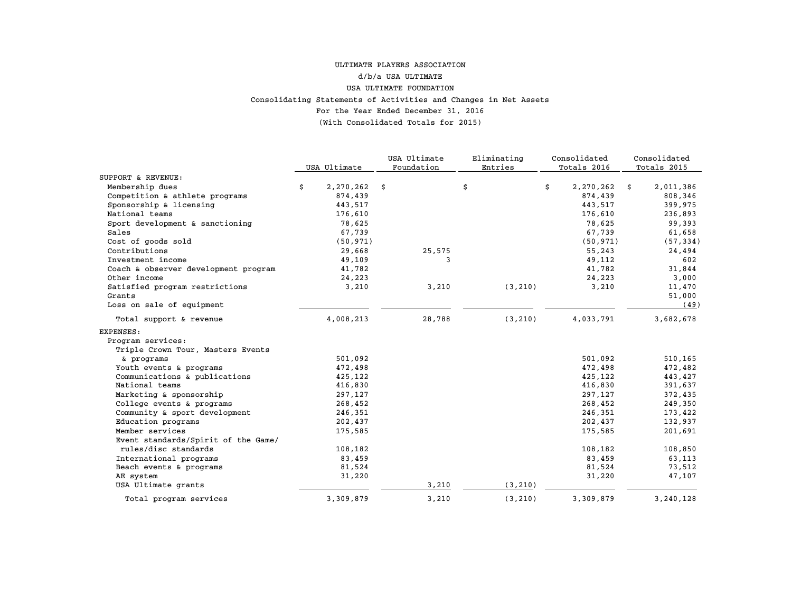## For the Year Ended December 31, 2016 (With Consolidated Totals for 2015) Consolidating Statements of Activities and Changes in Net Assets ULTIMATE PLAYERS ASSOCIATIONd/b/a USA ULTIMATEUSA ULTIMATE FOUNDATION

|                                      |                 | USA Ultimate | Eliminating | Consolidated    | Consolidated    |
|--------------------------------------|-----------------|--------------|-------------|-----------------|-----------------|
|                                      | USA Ultimate    | Foundation   | Entries     | Totals 2016     | Totals 2015     |
| SUPPORT & REVENUE:                   |                 |              |             |                 |                 |
| Membership dues                      | \$<br>2,270,262 | \$           | \$          | \$<br>2,270,262 | \$<br>2,011,386 |
| Competition & athlete programs       | 874,439         |              |             | 874,439         | 808,346         |
| Sponsorship & licensing              | 443,517         |              |             | 443,517         | 399,975         |
| National teams                       | 176,610         |              |             | 176,610         | 236,893         |
| Sport development & sanctioning      | 78,625          |              |             | 78,625          | 99,393          |
| Sales                                | 67,739          |              |             | 67,739          | 61,658          |
| Cost of goods sold                   | (50, 971)       |              |             | (50, 971)       | (57, 334)       |
| Contributions                        | 29,668          | 25,575       |             | 55,243          | 24,494          |
| Investment income                    | 49,109          | 3            |             | 49,112          | 602             |
| Coach & observer development program | 41,782          |              |             | 41,782          | 31,844          |
| Other income                         | 24,223          |              |             | 24,223          | 3,000           |
| Satisfied program restrictions       | 3,210           | 3,210        | (3, 210)    | 3,210           | 11,470          |
| Grants                               |                 |              |             |                 | 51,000          |
| Loss on sale of equipment            |                 |              |             |                 | (49)            |
| Total support & revenue              | 4,008,213       | 28,788       | (3, 210)    | 4,033,791       | 3,682,678       |
| EXPENSES:                            |                 |              |             |                 |                 |
| Program services:                    |                 |              |             |                 |                 |
| Triple Crown Tour, Masters Events    |                 |              |             |                 |                 |
| & programs                           | 501,092         |              |             | 501,092         | 510,165         |
| Youth events & programs              | 472,498         |              |             | 472,498         | 472,482         |
| Communications & publications        | 425,122         |              |             | 425,122         | 443,427         |
| National teams                       | 416,830         |              |             | 416,830         | 391,637         |
| Marketing & sponsorship              | 297,127         |              |             | 297,127         | 372,435         |
| College events & programs            | 268,452         |              |             | 268,452         | 249,350         |
| Community & sport development        | 246,351         |              |             | 246,351         | 173,422         |
| Education programs                   | 202,437         |              |             | 202,437         | 132,937         |
| Member services                      | 175,585         |              |             | 175,585         | 201,691         |
| Event standards/Spirit of the Game/  |                 |              |             |                 |                 |
| rules/disc standards                 | 108,182         |              |             | 108,182         | 108,850         |
| International programs               | 83,459          |              |             | 83,459          | 63,113          |
| Beach events & programs              | 81,524          |              |             | 81,524          | 73,512          |
| AE system                            | 31,220          |              |             | 31,220          | 47,107          |
| USA Ultimate grants                  |                 | 3,210        | (3, 210)    |                 |                 |
| Total program services               | 3,309,879       | 3,210        | (3, 210)    | 3,309,879       | 3,240,128       |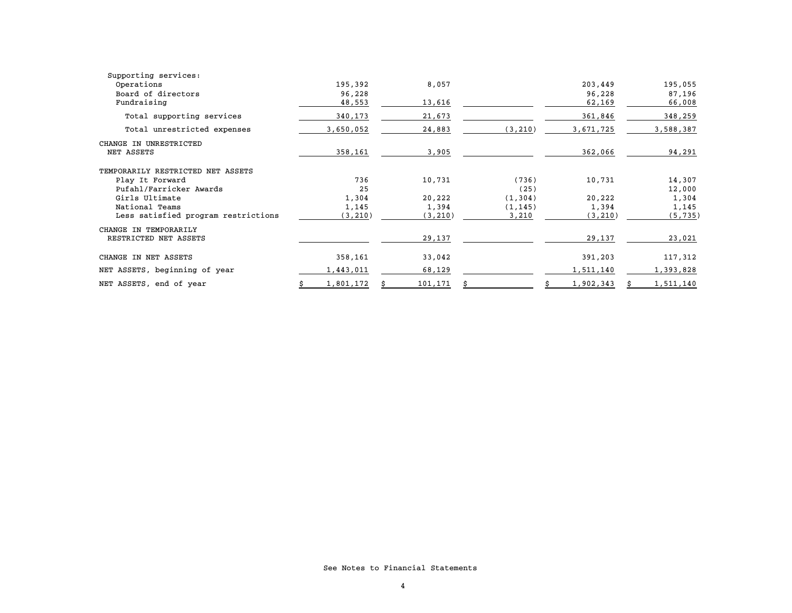| Supporting services:                |   |           |          |          |           |    |           |
|-------------------------------------|---|-----------|----------|----------|-----------|----|-----------|
| Operations                          |   | 195,392   | 8,057    |          | 203,449   |    | 195,055   |
| Board of directors                  |   | 96,228    |          |          | 96,228    |    | 87,196    |
| Fundraising                         |   | 48,553    | 13,616   |          | 62,169    |    | 66,008    |
| Total supporting services           |   | 340,173   | 21,673   |          | 361,846   |    | 348,259   |
| Total unrestricted expenses         |   | 3,650,052 | 24,883   | (3, 210) | 3,671,725 |    | 3,588,387 |
| CHANGE IN UNRESTRICTED              |   |           |          |          |           |    |           |
| NET ASSETS                          |   | 358,161   | 3,905    |          | 362,066   |    | 94,291    |
| TEMPORARILY RESTRICTED NET ASSETS   |   |           |          |          |           |    |           |
| Play It Forward                     |   | 736       | 10,731   | (736)    | 10,731    |    | 14,307    |
| Pufahl/Farricker Awards             |   | 25        |          | (25)     |           |    | 12,000    |
| Girls Ultimate                      |   | 1,304     | 20,222   | (1, 304) | 20,222    |    | 1,304     |
| National Teams                      |   | 1,145     | 1,394    | (1, 145) | 1,394     |    | 1,145     |
| Less satisfied program restrictions |   | (3, 210)  | (3, 210) | 3,210    | (3, 210)  |    | (5, 735)  |
| CHANGE IN TEMPORARILY               |   |           |          |          |           |    |           |
| RESTRICTED NET ASSETS               |   |           | 29,137   |          | 29,137    |    | 23,021    |
| CHANGE IN NET ASSETS                |   | 358,161   | 33,042   |          | 391,203   |    | 117,312   |
| NET ASSETS, beginning of year       |   | 1,443,011 | 68,129   |          | 1,511,140 |    | 1,393,828 |
| NET ASSETS, end of year             | s | 1,801,172 | 101,171  | \$       | 1,902,343 | Ŝ. | 1,511,140 |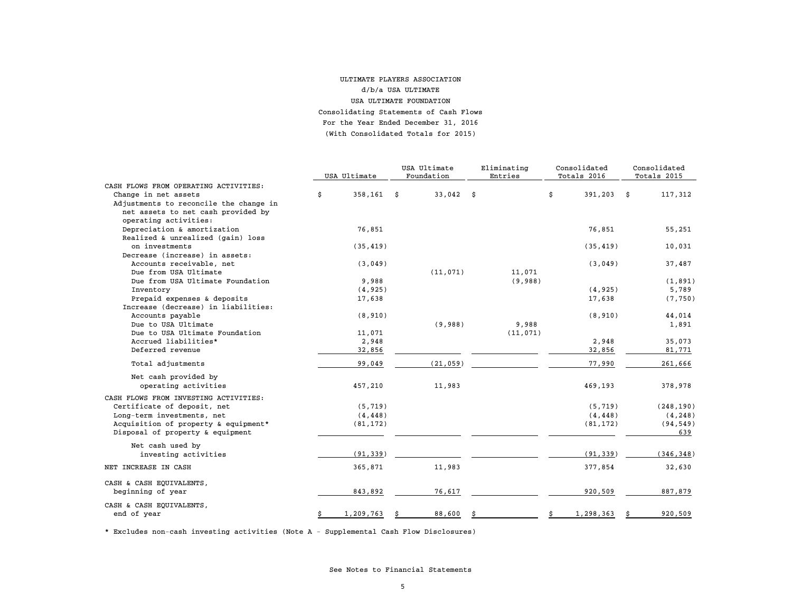#### For the Year Ended December 31, 2016 (With Consolidated Totals for 2015)ULTIMATE PLAYERS ASSOCIATIONd/b/a USA ULTIMATEUSA ULTIMATE FOUNDATION Consolidating Statements of Cash Flows

|                                        |                    | USA Ultimate |             | Eliminating | Consolidated |    | Consolidated |    |             |
|----------------------------------------|--------------------|--------------|-------------|-------------|--------------|----|--------------|----|-------------|
|                                        | USA Ultimate       |              | Foundation  |             | Entries      |    | Totals 2016  |    | Totals 2015 |
| CASH FLOWS FROM OPERATING ACTIVITIES:  |                    |              |             |             |              |    |              |    |             |
| Change in net assets                   | \$<br>$358,161$ \$ |              | $33,042$ \$ |             |              | \$ | 391,203      | \$ | 117,312     |
| Adjustments to reconcile the change in |                    |              |             |             |              |    |              |    |             |
| net assets to net cash provided by     |                    |              |             |             |              |    |              |    |             |
| operating activities:                  |                    |              |             |             |              |    |              |    |             |
| Depreciation & amortization            | 76,851             |              |             |             |              |    | 76,851       |    | 55,251      |
| Realized & unrealized (gain) loss      |                    |              |             |             |              |    |              |    |             |
| on investments                         | (35, 419)          |              |             |             |              |    | (35, 419)    |    | 10,031      |
| Decrease (increase) in assets:         |                    |              |             |             |              |    |              |    |             |
| Accounts receivable, net               | (3,049)            |              |             |             |              |    | (3,049)      |    | 37,487      |
| Due from USA Ultimate                  |                    |              | (11, 071)   |             | 11,071       |    |              |    |             |
| Due from USA Ultimate Foundation       | 9,988              |              |             |             | (9,988)      |    |              |    | (1, 891)    |
| Inventory                              | (4, 925)           |              |             |             |              |    | (4, 925)     |    | 5,789       |
| Prepaid expenses & deposits            | 17,638             |              |             |             |              |    | 17,638       |    | (7, 750)    |
| Increase (decrease) in liabilities:    |                    |              |             |             |              |    |              |    |             |
| Accounts payable                       | (8, 910)           |              |             |             |              |    | (8, 910)     |    | 44,014      |
| Due to USA Ultimate                    |                    |              | (9,988)     |             | 9,988        |    |              |    | 1,891       |
| Due to USA Ultimate Foundation         | 11,071             |              |             |             | (11, 071)    |    |              |    |             |
| Accrued liabilities*                   | 2,948              |              |             |             |              |    | 2,948        |    | 35,073      |
| Deferred revenue                       | 32,856             |              |             |             |              |    | 32,856       |    | 81,771      |
|                                        |                    |              |             |             |              |    |              |    |             |
| Total adjustments                      | 99,049             |              | (21, 059)   |             |              |    | 77,990       |    | 261,666     |
| Net cash provided by                   |                    |              |             |             |              |    |              |    |             |
| operating activities                   | 457,210            |              | 11,983      |             |              |    | 469,193      |    | 378,978     |
| CASH FLOWS FROM INVESTING ACTIVITIES:  |                    |              |             |             |              |    |              |    |             |
| Certificate of deposit, net            | (5, 719)           |              |             |             |              |    | (5, 719)     |    | (248, 190)  |
| Long-term investments, net             | (4, 448)           |              |             |             |              |    | (4, 448)     |    | (4, 248)    |
| Acquisition of property & equipment*   | (81, 172)          |              |             |             |              |    | (81, 172)    |    | (94, 549)   |
| Disposal of property & equipment       |                    |              |             |             |              |    |              |    | 639         |
| Net cash used by                       |                    |              |             |             |              |    |              |    |             |
| investing activities                   | (91, 339)          |              |             |             |              |    | (91, 339)    |    | (346, 348)  |
|                                        |                    |              |             |             |              |    |              |    |             |
| NET INCREASE IN CASH                   | 365,871            |              | 11,983      |             |              |    | 377,854      |    | 32,630      |
| CASH & CASH EQUIVALENTS,               |                    |              |             |             |              |    |              |    |             |
| beginning of year                      | 843,892            |              | 76,617      |             |              |    | 920,509      |    | 887,879     |
| CASH & CASH EQUIVALENTS,               |                    |              |             |             |              |    |              |    |             |
| end of year                            | \$<br>1,209,763    |              | 88,600      |             |              |    | 1,298,363    |    | 920,509     |
|                                        |                    |              |             |             |              |    |              |    |             |

\* Excludes non-cash investing activities (Note A - Supplemental Cash Flow Disclosures)

See Notes to Financial Statements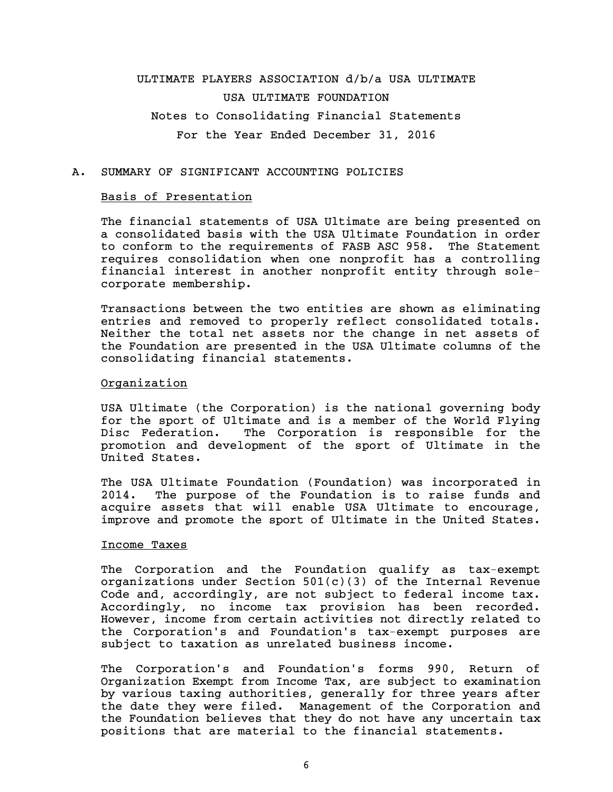# ULTIMATE PLAYERS ASSOCIATION d/b/a USA ULTIMATE USA ULTIMATE FOUNDATION Notes to Consolidating Financial Statements For the Year Ended December 31, 2016

## A. SUMMARY OF SIGNIFICANT ACCOUNTING POLICIES

### Basis of Presentation

The financial statements of USA Ultimate are being presented on a consolidated basis with the USA Ultimate Foundation in order to conform to the requirements of FASB ASC 958. The Statement requires consolidation when one nonprofit has a controlling financial interest in another nonprofit entity through solecorporate membership.

Transactions between the two entities are shown as eliminating entries and removed to properly reflect consolidated totals. Neither the total net assets nor the change in net assets of the Foundation are presented in the USA Ultimate columns of the consolidating financial statements.

## Organization

USA Ultimate (the Corporation) is the national governing body for the sport of Ultimate and is a member of the World Flying Disc Federation. The Corporation is responsible for the promotion and development of the sport of Ultimate in the United States.

The USA Ultimate Foundation (Foundation) was incorporated in 2014. The purpose of the Foundation is to raise funds and acquire assets that will enable USA Ultimate to encourage, improve and promote the sport of Ultimate in the United States.

### Income Taxes

The Corporation and the Foundation qualify as tax-exempt organizations under Section 501(c)(3) of the Internal Revenue Code and, accordingly, are not subject to federal income tax. Accordingly, no income tax provision has been recorded. However, income from certain activities not directly related to the Corporation's and Foundation's tax-exempt purposes are subject to taxation as unrelated business income.

The Corporation's and Foundation's forms 990, Return of Organization Exempt from Income Tax, are subject to examination by various taxing authorities, generally for three years after the date they were filed. Management of the Corporation and the Foundation believes that they do not have any uncertain tax positions that are material to the financial statements.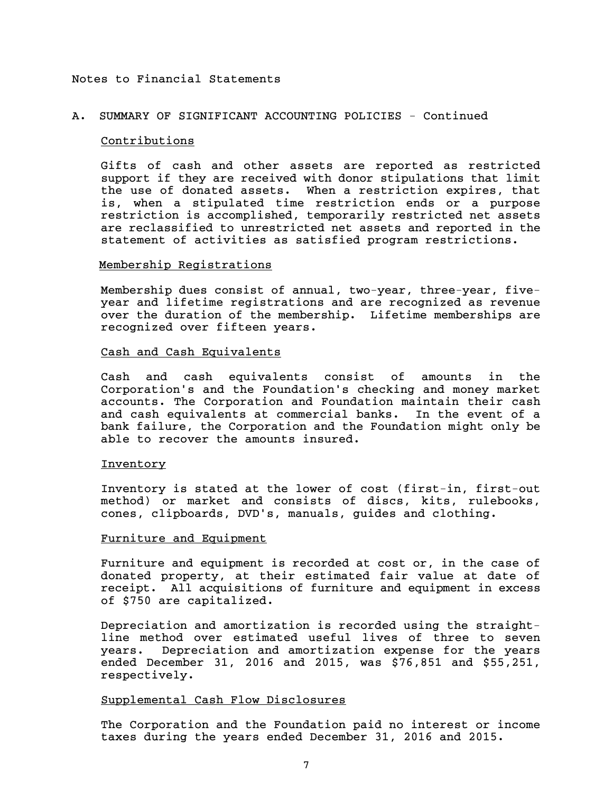## A. SUMMARY OF SIGNIFICANT ACCOUNTING POLICIES - Continued

#### Contributions

Gifts of cash and other assets are reported as restricted support if they are received with donor stipulations that limit the use of donated assets. When a restriction expires, that is, when a stipulated time restriction ends or a purpose restriction is accomplished, temporarily restricted net assets are reclassified to unrestricted net assets and reported in the statement of activities as satisfied program restrictions.

## Membership Registrations

Membership dues consist of annual, two-year, three-year, fiveyear and lifetime registrations and are recognized as revenue over the duration of the membership. Lifetime memberships are recognized over fifteen years.

## Cash and Cash Equivalents

Cash and cash equivalents consist of amounts in the Corporation's and the Foundation's checking and money market accounts. The Corporation and Foundation maintain their cash and cash equivalents at commercial banks. In the event of a bank failure, the Corporation and the Foundation might only be able to recover the amounts insured.

#### Inventory

Inventory is stated at the lower of cost (first-in, first-out method) or market and consists of discs, kits, rulebooks, cones, clipboards, DVD's, manuals, guides and clothing.

#### Furniture and Equipment

Furniture and equipment is recorded at cost or, in the case of donated property, at their estimated fair value at date of receipt. All acquisitions of furniture and equipment in excess of \$750 are capitalized.

Depreciation and amortization is recorded using the straightline method over estimated useful lives of three to seven years. Depreciation and amortization expense for the years ended December 31, 2016 and 2015, was \$76,851 and \$55,251, respectively.

## Supplemental Cash Flow Disclosures

The Corporation and the Foundation paid no interest or income taxes during the years ended December 31, 2016 and 2015.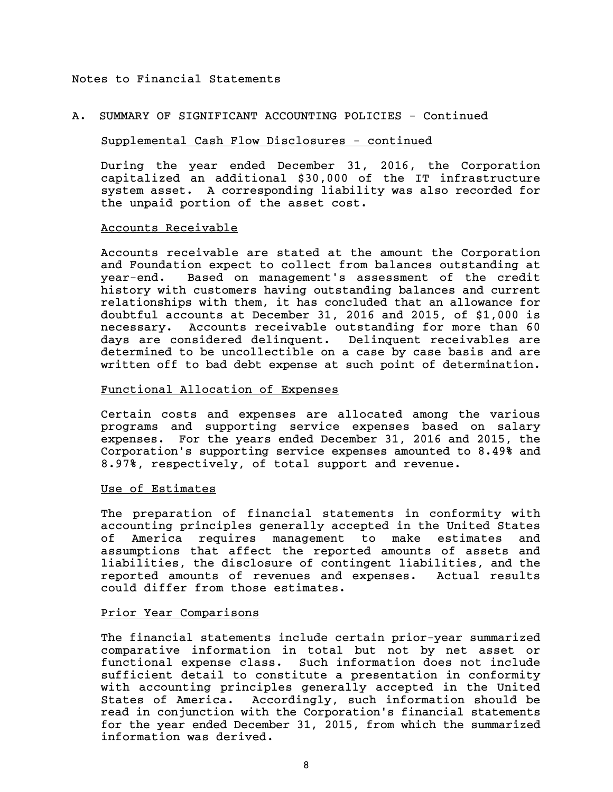### A. SUMMARY OF SIGNIFICANT ACCOUNTING POLICIES - Continued

## Supplemental Cash Flow Disclosures - continued

During the year ended December 31, 2016, the Corporation capitalized an additional \$30,000 of the IT infrastructure system asset. A corresponding liability was also recorded for the unpaid portion of the asset cost.

#### Accounts Receivable

Accounts receivable are stated at the amount the Corporation and Foundation expect to collect from balances outstanding at year-end. Based on management's assessment of the credit history with customers having outstanding balances and current relationships with them, it has concluded that an allowance for doubtful accounts at December 31, 2016 and 2015, of \$1,000 is necessary. Accounts receivable outstanding for more than 60 days are considered delinquent. Delinquent receivables are determined to be uncollectible on a case by case basis and are written off to bad debt expense at such point of determination.

## Functional Allocation of Expenses

Certain costs and expenses are allocated among the various programs and supporting service expenses based on salary expenses. For the years ended December 31, 2016 and 2015, the Corporation's supporting service expenses amounted to 8.49% and 8.97%, respectively, of total support and revenue.

#### Use of Estimates

The preparation of financial statements in conformity with accounting principles generally accepted in the United States of America requires management to make estimates and assumptions that affect the reported amounts of assets and liabilities, the disclosure of contingent liabilities, and the reported amounts of revenues and expenses. Actual results could differ from those estimates.

## Prior Year Comparisons

The financial statements include certain prior-year summarized comparative information in total but not by net asset or functional expense class. Such information does not include sufficient detail to constitute a presentation in conformity with accounting principles generally accepted in the United States of America. Accordingly, such information should be read in conjunction with the Corporation's financial statements for the year ended December 31, 2015, from which the summarized information was derived.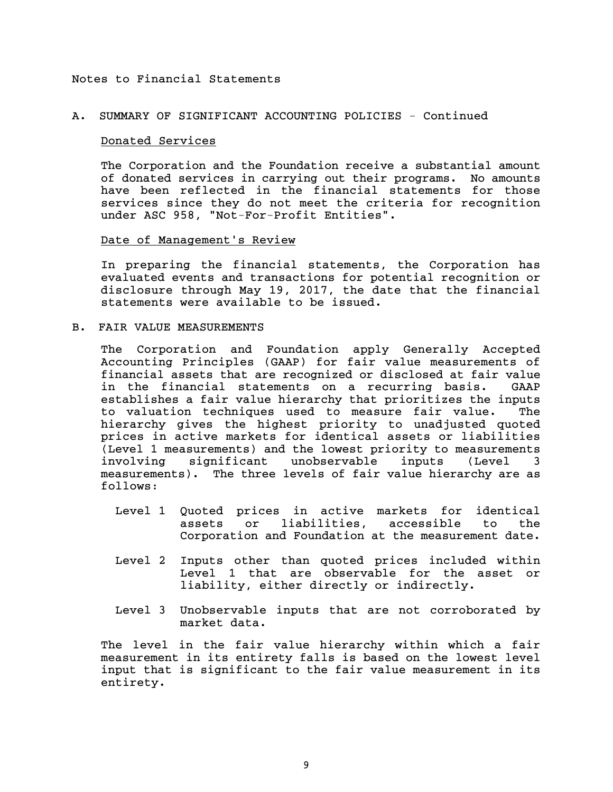## A. SUMMARY OF SIGNIFICANT ACCOUNTING POLICIES - Continued

#### Donated Services

The Corporation and the Foundation receive a substantial amount of donated services in carrying out their programs. No amounts have been reflected in the financial statements for those services since they do not meet the criteria for recognition under ASC 958, "Not-For-Profit Entities".

#### Date of Management's Review

In preparing the financial statements, the Corporation has evaluated events and transactions for potential recognition or disclosure through May 19, 2017, the date that the financial statements were available to be issued.

B. FAIR VALUE MEASUREMENTS

The Corporation and Foundation apply Generally Accepted Accounting Principles (GAAP) for fair value measurements of financial assets that are recognized or disclosed at fair value in the financial statements on a recurring basis. GAAP establishes a fair value hierarchy that prioritizes the inputs to valuation techniques used to measure fair value. The hierarchy gives the highest priority to unadjusted quoted prices in active markets for identical assets or liabilities (Level 1 measurements) and the lowest priority to measurements involving significant unobservable inputs (Level 3 measurements). The three levels of fair value hierarchy are as follows:

- Level 1 Quoted prices in active markets for identical assets or liabilities, accessible to the Corporation and Foundation at the measurement date.
- Level 2 Inputs other than quoted prices included within Level 1 that are observable for the asset or liability, either directly or indirectly.
- Level 3 Unobservable inputs that are not corroborated by market data.

The level in the fair value hierarchy within which a fair measurement in its entirety falls is based on the lowest level input that is significant to the fair value measurement in its entirety.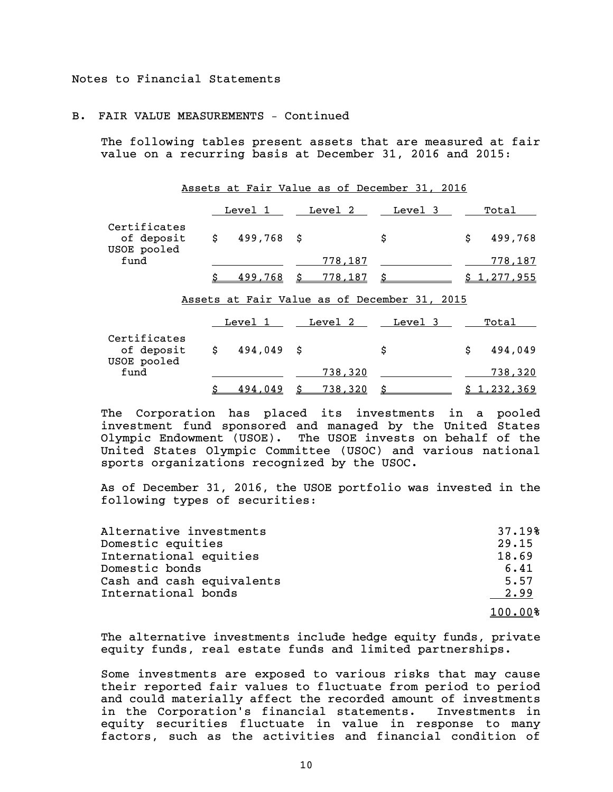## B. FAIR VALUE MEASUREMENTS – Continued

The following tables present assets that are measured at fair value on a recurring basis at December 31, 2016 and 2015:

|                                           |               | Assets at Fair Value as of December 31, 2016 |                           |               |
|-------------------------------------------|---------------|----------------------------------------------|---------------------------|---------------|
|                                           | Level 1       | Level 2 Level 3                              |                           | Total         |
| Certificates<br>of deposit<br>USOE pooled | $$499,768$ \$ |                                              | \$                        | 499,768<br>\$ |
| fund                                      |               | 778,187                                      |                           | 778,187       |
|                                           | Ś.<br>499,768 | \$778,187                                    | $\boldsymbol{\mathsf{S}}$ | \$1,277,955   |
|                                           |               | Assets at Fair Value as of December 31, 2015 |                           |               |
|                                           |               | Level 1 Level 2 Level 3                      |                           | Total         |
| Certificates<br>of deposit<br>USOE pooled | $$494,049$ \$ |                                              | \$                        | 494,049<br>\$ |
| fund                                      |               | 738,320                                      |                           | 738,320       |
|                                           | \$<br>494,049 | \$<br>738,320                                | \$_                       | \$1,232,369   |

The Corporation has placed its investments in a pooled investment fund sponsored and managed by the United States Olympic Endowment (USOE). The USOE invests on behalf of the United States Olympic Committee (USOC) and various national sports organizations recognized by the USOC.

As of December 31, 2016, the USOE portfolio was invested in the following types of securities:

| Alternative investments   | 37.19%  |
|---------------------------|---------|
| Domestic equities         | 29.15   |
| International equities    | 18.69   |
| Domestic bonds            | 6.41    |
| Cash and cash equivalents | 5.57    |
| International bonds       | 2.99    |
|                           | 100.00% |

The alternative investments include hedge equity funds, private equity funds, real estate funds and limited partnerships.

Some investments are exposed to various risks that may cause their reported fair values to fluctuate from period to period and could materially affect the recorded amount of investments in the Corporation's financial statements. Investments in equity securities fluctuate in value in response to many factors, such as the activities and financial condition of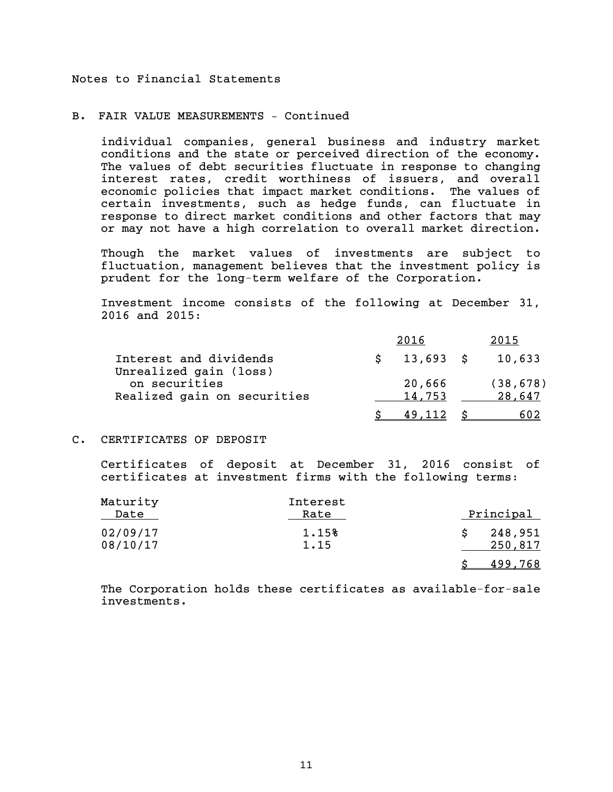## B. FAIR VALUE MEASUREMENTS – Continued

individual companies, general business and industry market conditions and the state or perceived direction of the economy. The values of debt securities fluctuate in response to changing interest rates, credit worthiness of issuers, and overall economic policies that impact market conditions. The values of certain investments, such as hedge funds, can fluctuate in response to direct market conditions and other factors that may or may not have a high correlation to overall market direction.

Though the market values of investments are subject to fluctuation, management believes that the investment policy is prudent for the long-term welfare of the Corporation.

Investment income consists of the following at December 31, 2016 and 2015:

|                                                  | 2016             | 2015                |
|--------------------------------------------------|------------------|---------------------|
| Interest and dividends<br>Unrealized gain (loss) | $\sin 13,693$ \$ | 10,633              |
| on securities<br>Realized gain on securities     | 20,666<br>14,753 | (38, 678)<br>28,647 |
|                                                  | 49.112           | 602                 |

## C. CERTIFICATES OF DEPOSIT

Certificates of deposit at December 31, 2016 consist of certificates at investment firms with the following terms:

| Maturity<br>Date     | Interest<br>Rate | <u>Principal</u>   |
|----------------------|------------------|--------------------|
| 02/09/17<br>08/10/17 | 1.15%<br>1.15    | 248,951<br>250,817 |
|                      |                  | 499.768            |

The Corporation holds these certificates as available-for-sale investments.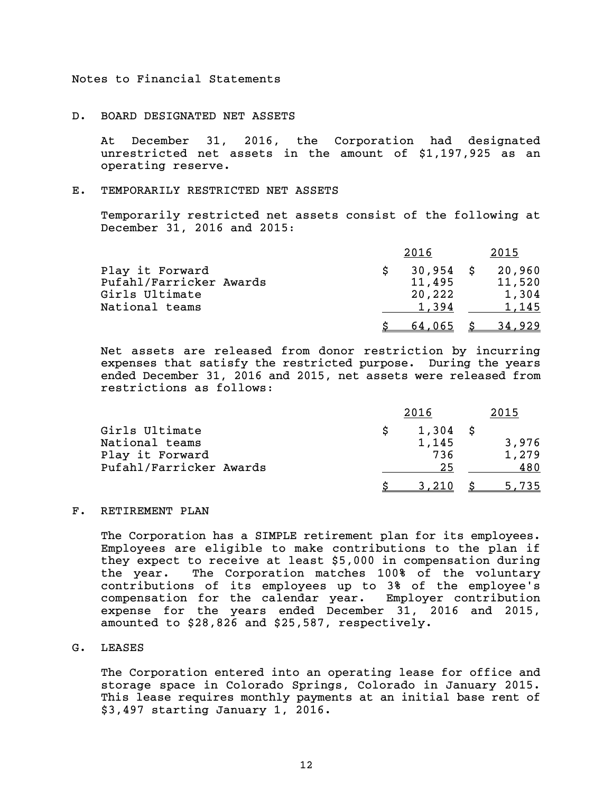#### D. BOARD DESIGNATED NET ASSETS

At December 31, 2016, the Corporation had designated unrestricted net assets in the amount of \$1,197,925 as an operating reserve.

#### E. TEMPORARILY RESTRICTED NET ASSETS

Temporarily restricted net assets consist of the following at December 31, 2016 and 2015:

|                                           | 2016             | 2015            |
|-------------------------------------------|------------------|-----------------|
| Play it Forward                           | $30,954$ \$      | 20,960          |
| Pufahl/Farricker Awards<br>Girls Ultimate | 11,495<br>20,222 | 11,520<br>1,304 |
| National teams                            | 1.394            | 1,145           |
|                                           | 64,065           | 34,929          |

Net assets are released from donor restriction by incurring expenses that satisfy the restricted purpose. During the years ended December 31, 2016 and 2015, net assets were released from restrictions as follows:

|                         | 2016 | 2015  |       |  |
|-------------------------|------|-------|-------|--|
| Girls Ultimate          |      | 1,304 |       |  |
| National teams          |      | 1,145 | 3,976 |  |
| Play it Forward         |      | 736   | 1,279 |  |
| Pufahl/Farricker Awards |      | 25    | 480   |  |
|                         |      | 3.210 | 5,735 |  |

## F. RETIREMENT PLAN

The Corporation has a SIMPLE retirement plan for its employees. Employees are eligible to make contributions to the plan if they expect to receive at least \$5,000 in compensation during the year. The Corporation matches 100% of the voluntary contributions of its employees up to 3% of the employee's compensation for the calendar year. Employer contribution expense for the years ended December 31, 2016 and 2015, amounted to \$28,826 and \$25,587, respectively.

#### G. LEASES

The Corporation entered into an operating lease for office and storage space in Colorado Springs, Colorado in January 2015. This lease requires monthly payments at an initial base rent of \$3,497 starting January 1, 2016.